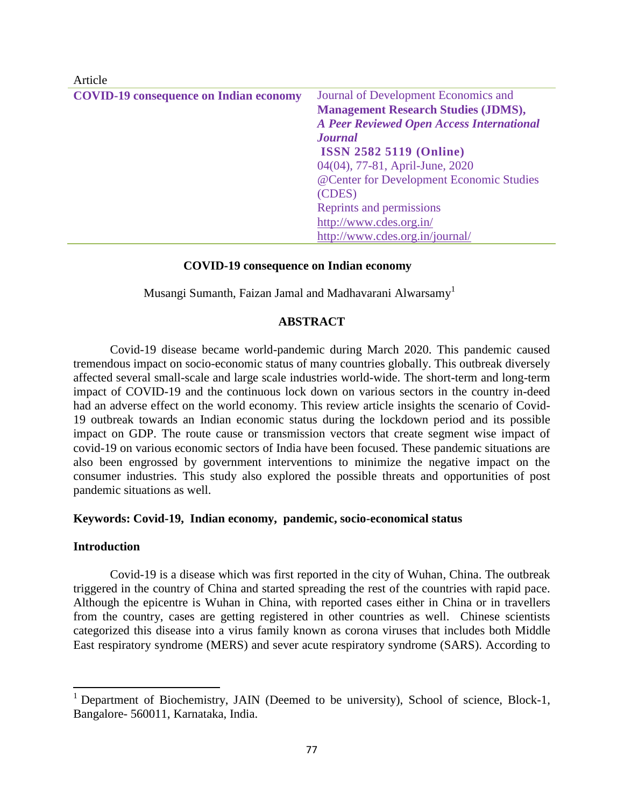| 7110010                                       |                                                  |
|-----------------------------------------------|--------------------------------------------------|
| <b>COVID-19 consequence on Indian economy</b> | Journal of Development Economics and             |
|                                               | <b>Management Research Studies (JDMS),</b>       |
|                                               | <b>A Peer Reviewed Open Access International</b> |
|                                               | <b>Journal</b>                                   |
|                                               | <b>ISSN 2582 5119 (Online)</b>                   |
|                                               | 04(04), 77-81, April-June, 2020                  |
|                                               | @Center for Development Economic Studies         |
|                                               | (CDES)                                           |
|                                               | Reprints and permissions                         |
|                                               | http://www.cdes.org.in/                          |
|                                               | http://www.cdes.org.in/journal/                  |

#### **COVID-19 consequence on Indian economy**

Musangi Sumanth, Faizan Jamal and Madhavarani Alwarsamy<sup>1</sup>

#### **ABSTRACT**

Covid-19 disease became world-pandemic during March 2020. This pandemic caused tremendous impact on socio-economic status of many countries globally. This outbreak diversely affected several small-scale and large scale industries world-wide. The short-term and long-term impact of COVID-19 and the continuous lock down on various sectors in the country in-deed had an adverse effect on the world economy. This review article insights the scenario of Covid-19 outbreak towards an Indian economic status during the lockdown period and its possible impact on GDP. The route cause or transmission vectors that create segment wise impact of covid-19 on various economic sectors of India have been focused. These pandemic situations are also been engrossed by government interventions to minimize the negative impact on the consumer industries. This study also explored the possible threats and opportunities of post pandemic situations as well.

#### **Keywords: Covid-19, Indian economy, pandemic, socio-economical status**

#### **Introduction**

 $\overline{a}$ 

Article

Covid-19 is a disease which was first reported in the city of Wuhan, China. The outbreak triggered in the country of China and started spreading the rest of the countries with rapid pace. Although the epicentre is Wuhan in China, with reported cases either in China or in travellers from the country, cases are getting registered in other countries as well. Chinese scientists categorized this disease into a virus family known as corona viruses that includes both Middle East respiratory syndrome (MERS) and sever acute respiratory syndrome (SARS). According to

<sup>&</sup>lt;sup>1</sup> Department of Biochemistry, JAIN (Deemed to be university), School of science, Block-1, Bangalore- 560011, Karnataka, India.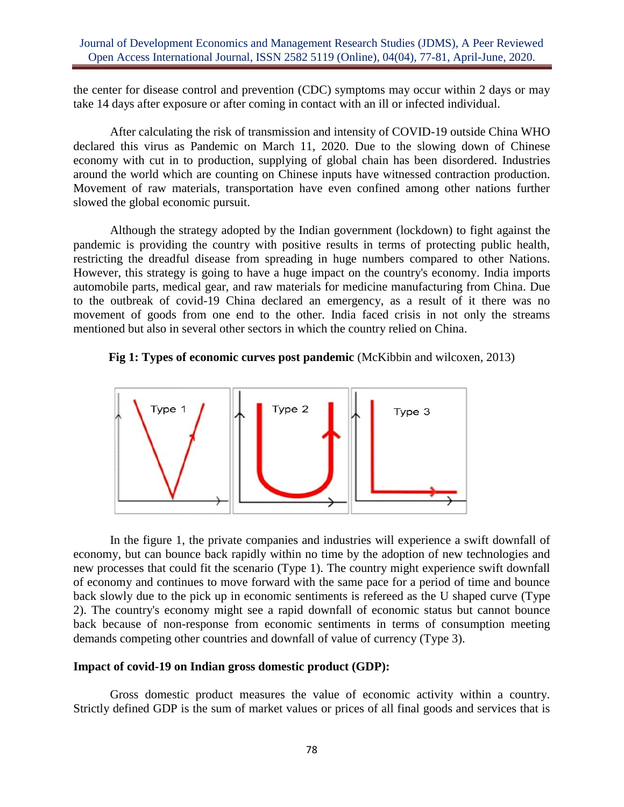### Journal of Development Economics and Management Research Studies (JDMS), A Peer Reviewed Open Access International Journal, ISSN 2582 5119 (Online), 04(04), 77-81, April-June, 2020.

the center for disease control and prevention (CDC) symptoms may occur within 2 days or may take 14 days after exposure or after coming in contact with an ill or infected individual.

After calculating the risk of transmission and intensity of COVID-19 outside China WHO declared this virus as Pandemic on March 11, 2020. Due to the slowing down of Chinese economy with cut in to production, supplying of global chain has been disordered. Industries around the world which are counting on Chinese inputs have witnessed contraction production. Movement of raw materials, transportation have even confined among other nations further slowed the global economic pursuit.

Although the strategy adopted by the Indian government (lockdown) to fight against the pandemic is providing the country with positive results in terms of protecting public health, restricting the dreadful disease from spreading in huge numbers compared to other Nations. However, this strategy is going to have a huge impact on the country's economy. India imports automobile parts, medical gear, and raw materials for medicine manufacturing from China. Due to the outbreak of covid-19 China declared an emergency, as a result of it there was no movement of goods from one end to the other. India faced crisis in not only the streams mentioned but also in several other sectors in which the country relied on China.





In the figure 1, the private companies and industries will experience a swift downfall of economy, but can bounce back rapidly within no time by the adoption of new technologies and new processes that could fit the scenario (Type 1). The country might experience swift downfall of economy and continues to move forward with the same pace for a period of time and bounce back slowly due to the pick up in economic sentiments is refereed as the U shaped curve (Type 2). The country's economy might see a rapid downfall of economic status but cannot bounce back because of non-response from economic sentiments in terms of consumption meeting demands competing other countries and downfall of value of currency (Type 3).

### **Impact of covid-19 on Indian gross domestic product (GDP):**

Gross domestic product measures the value of economic activity within a country. Strictly defined GDP is the sum of market values or prices of all final goods and services that is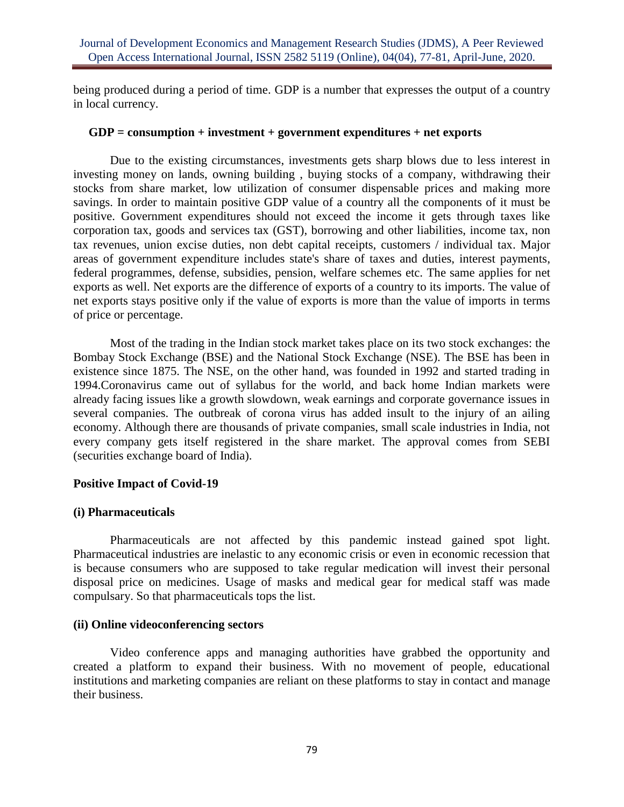being produced during a period of time. GDP is a number that expresses the output of a country in local currency.

### **GDP = consumption + investment + government expenditures + net exports**

Due to the existing circumstances, investments gets sharp blows due to less interest in investing money on lands, owning building , buying stocks of a company, withdrawing their stocks from share market, low utilization of consumer dispensable prices and making more savings. In order to maintain positive GDP value of a country all the components of it must be positive. Government expenditures should not exceed the income it gets through taxes like corporation tax, goods and services tax (GST), borrowing and other liabilities, income tax, non tax revenues, union excise duties, non debt capital receipts, customers / individual tax. Major areas of government expenditure includes state's share of taxes and duties, interest payments, federal programmes, defense, subsidies, pension, welfare schemes etc. The same applies for net exports as well. Net exports are the difference of exports of a country to its imports. The value of net exports stays positive only if the value of exports is more than the value of imports in terms of price or percentage.

Most of the trading in the Indian stock market takes place on its two stock exchanges: the Bombay Stock Exchange (BSE) and the National Stock Exchange (NSE). The BSE has been in existence since 1875. The NSE, on the other hand, was founded in 1992 and started trading in 1994.Coronavirus came out of syllabus for the world, and back home Indian markets were already facing issues like a growth slowdown, weak earnings and corporate governance issues in several companies. The outbreak of corona virus has added insult to the injury of an ailing economy. Although there are thousands of private companies, small scale industries in India, not every company gets itself registered in the share market. The approval comes from SEBI (securities exchange board of India).

# **Positive Impact of Covid-19**

# **(i) Pharmaceuticals**

Pharmaceuticals are not affected by this pandemic instead gained spot light. Pharmaceutical industries are inelastic to any economic crisis or even in economic recession that is because consumers who are supposed to take regular medication will invest their personal disposal price on medicines. Usage of masks and medical gear for medical staff was made compulsary. So that pharmaceuticals tops the list.

# **(ii) Online videoconferencing sectors**

Video conference apps and managing authorities have grabbed the opportunity and created a platform to expand their business. With no movement of people, educational institutions and marketing companies are reliant on these platforms to stay in contact and manage their business.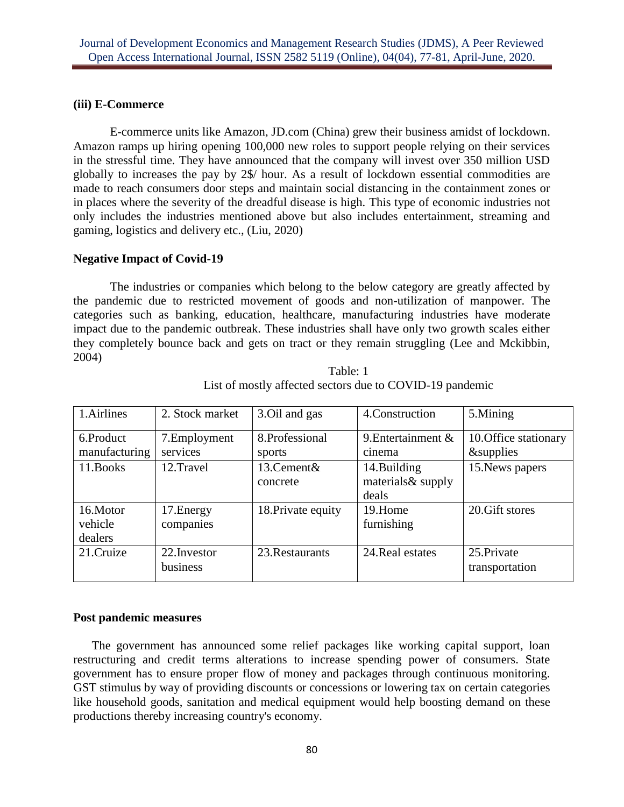# **(iii) E-Commerce**

E-commerce units like Amazon, JD.com (China) grew their business amidst of lockdown. Amazon ramps up hiring opening 100,000 new roles to support people relying on their services in the stressful time. They have announced that the company will invest over 350 million USD globally to increases the pay by 2\$/ hour. As a result of lockdown essential commodities are made to reach consumers door steps and maintain social distancing in the containment zones or in places where the severity of the dreadful disease is high. This type of economic industries not only includes the industries mentioned above but also includes entertainment, streaming and gaming, logistics and delivery etc., (Liu, 2020)

### **Negative Impact of Covid-19**

The industries or companies which belong to the below category are greatly affected by the pandemic due to restricted movement of goods and non-utilization of manpower. The categories such as banking, education, healthcare, manufacturing industries have moderate impact due to the pandemic outbreak. These industries shall have only two growth scales either they completely bounce back and gets on tract or they remain struggling (Lee and Mckibbin, 2004)

| 1.Airlines    | 2. Stock market          | 3.Oil and gas      | 4. Construction       | 5.Mining                      |
|---------------|--------------------------|--------------------|-----------------------|-------------------------------|
| 6.Product     | 7. Employment            | 8.Professional     | 9. Entertainment $\&$ | 10. Office stationary         |
| manufacturing | services                 | sports             | cinema                | <i>&amp;</i> supplies         |
| 11. Books     | 12.Travel                | 13. Cement &       | 14.Building           | 15. News papers               |
|               |                          | concrete           | materials & supply    |                               |
|               |                          |                    | deals                 |                               |
| 16.Motor      | 17. Energy               | 18. Private equity | 19.Home               | 20. Gift stores               |
| vehicle       | companies                |                    | furnishing            |                               |
| dealers       |                          |                    |                       |                               |
| 21.Cruize     | 22. Investor<br>business | 23. Restaurants    | 24. Real estates      | 25. Private<br>transportation |

Table: 1 List of mostly affected sectors due to COVID-19 pandemic

# **Post pandemic measures**

The government has announced some relief packages like working capital support, loan restructuring and credit terms alterations to increase spending power of consumers. State government has to ensure proper flow of money and packages through continuous monitoring. GST stimulus by way of providing discounts or concessions or lowering tax on certain categories like household goods, sanitation and medical equipment would help boosting demand on these productions thereby increasing country's economy.